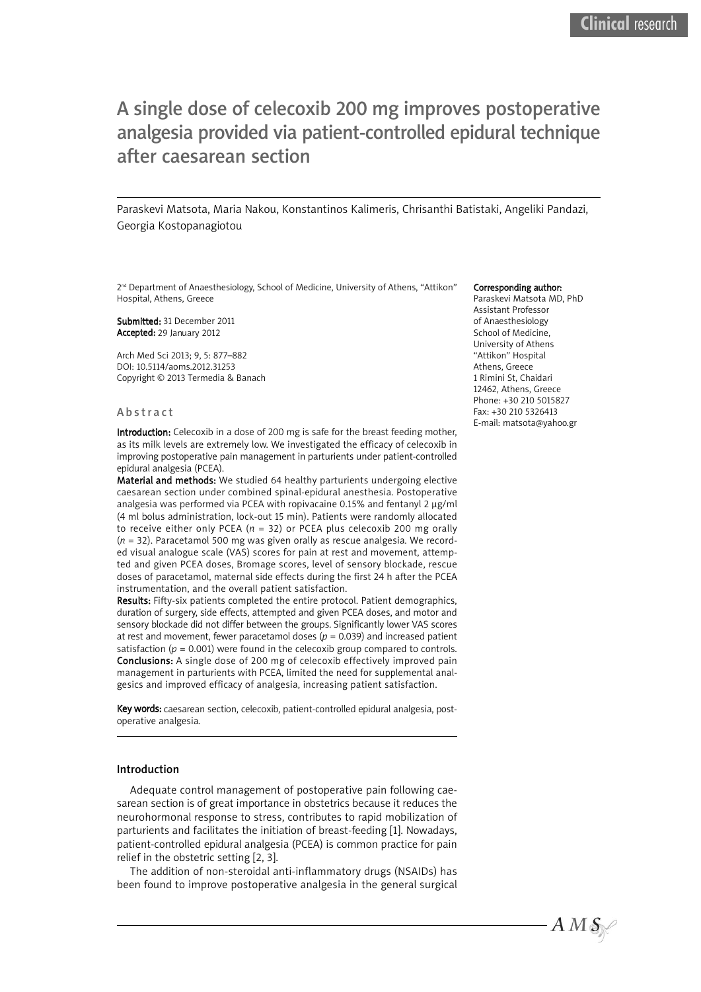# A single dose of celecoxib 200 mg improves postoperative analgesia provided via patient-controlled epidural technique after caesarean section

Paraskevi Matsota, Maria Nakou, Konstantinos Kalimeris, Chrisanthi Batistaki, Angeliki Pandazi, Georgia Kostopanagiotou

2<sup>nd</sup> Department of Anaesthesiology, School of Medicine, University of Athens, "Attikon" Hospital, Athens, Greece

Submitted: 31 December 2011 Accepted: 29 January 2012

Arch Med Sci 2013; 9, 5: 877–882 DOI: 10.5114/aoms.2012.31253 Copyright © 2013 Termedia & Banach

#### **Abstract**

Introduction: Celecoxib in a dose of 200 mg is safe for the breast feeding mother, as its milk levels are extremely low. We investigated the efficacy of celecoxib in improving postoperative pain management in parturients under patient-controlled epidural analgesia (PCEA).

Material and methods: We studied 64 healthy parturients undergoing elective caesarean section under combined spinal-epidural anesthesia. Postoperative analgesia was performed via PCEA with ropivacaine 0.15% and fentanyl 2 µg/ml (4 ml bolus administration, lock-out 15 min). Patients were randomly allocated to receive either only PCEA (*n* = 32) or PCEA plus celecoxib 200 mg orally (*n* = 32). Paracetamol 500 mg was given orally as rescue analgesia. We recorded visual analogue scale (VAS) scores for pain at rest and movement, attempted and given PCEA doses, Bromage scores, level of sensory blockade, rescue doses of paracetamol, maternal side effects during the first 24 h after the PCEA instrumentation, and the overall patient satisfaction.

Results: Fifty-six patients completed the entire protocol. Patient demographics, duration of surgery, side effects, attempted and given PCEA doses, and motor and sensory blockade did not differ between the groups. Significantly lower VAS scores at rest and movement, fewer paracetamol doses ( $p = 0.039$ ) and increased patient satisfaction ( $p = 0.001$ ) were found in the celecoxib group compared to controls. Conclusions: A single dose of 200 mg of celecoxib effectively improved pain management in parturients with PCEA, limited the need for supplemental analgesics and improved efficacy of analgesia, increasing patient satisfaction.

Key words: caesarean section, celecoxib, patient-controlled epidural analgesia, postoperative analgesia.

#### Introduction

Adequate control management of postoperative pain following caesarean section is of great importance in obstetrics because it reduces the neurohormonal response to stress, contributes to rapid mobilization of parturients and facilitates the initiation of breast-feeding [1]. Nowadays, patient-controlled epidural analgesia (PCEA) is common practice for pain relief in the obstetric setting [2, 3].

The addition of non-steroidal anti-inflammatory drugs (NSAIDs) has been found to improve postoperative analgesia in the general surgical

#### Corresponding author:

Paraskevi Matsota MD, PhD Assistant Professor of Anaesthesiology School of Medicine, University of Athens "Attikon" Hospital Athens, Greece 1 Rimini St, Chaidari 12462, Athens, Greece Phone: +30 210 5015827 Fax: +30 210 5326413 E-mail: matsota@yahoo.gr

 $A\,M\,\mathcal{S}_{\mathbb{R}}$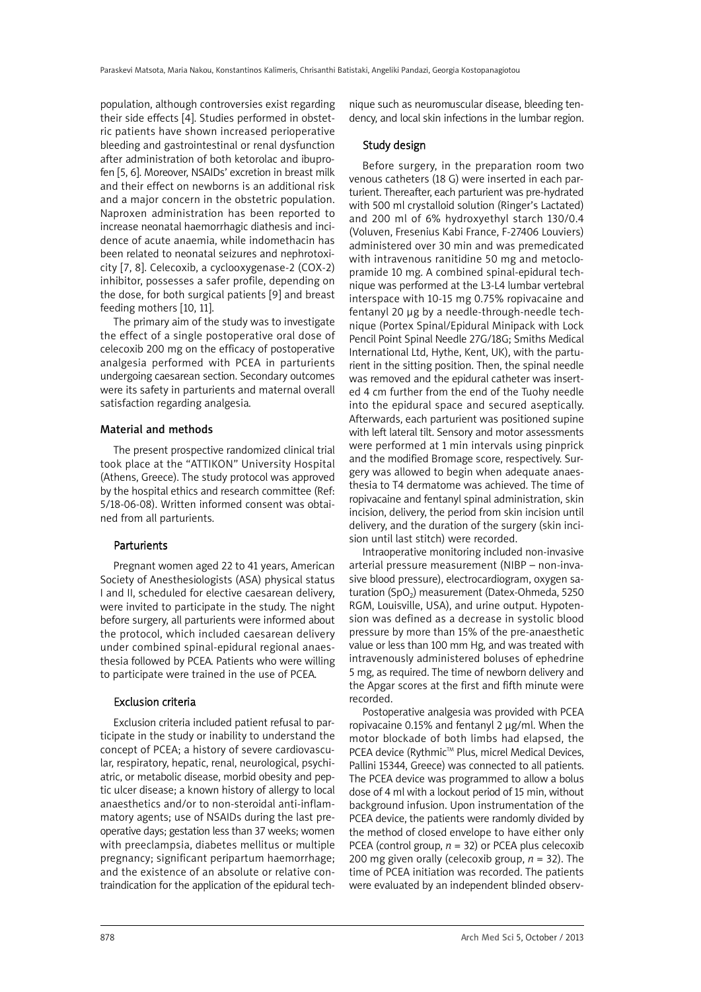population, although controversies exist regarding their side effects [4]. Studies performed in obstetric patients have shown increased perioperative bleeding and gastrointestinal or renal dysfunction after administration of both ketorolac and ibuprofen [5, 6]. Moreover, NSAIDs' excretion in breast milk and their effect on newborns is an additional risk and a major concern in the obstetric population. Naproxen administration has been reported to increase neonatal haemorrhagic diathesis and incidence of acute anaemia, while indomethacin has been related to neonatal seizures and nephrotoxicity [7, 8]. Celecoxib, a cyclooxygenase-2 (COX-2) inhibitor, possesses a safer profile, depending on the dose, for both surgical patients [9] and breast feeding mothers [10, 11].

The primary aim of the study was to investigate the effect of a single postoperative oral dose of celecoxib 200 mg on the efficacy of postoperative analgesia performed with PCEA in parturients undergoing caesarean section. Secondary outcomes were its safety in parturients and maternal overall satisfaction regarding analgesia.

#### Material and methods

The present prospective randomized clinical trial took place at the "ATTIKON" University Hospital (Athens, Greece). The study protocol was approved by the hospital ethics and research committee (Ref: 5/18-06-08). Written informed consent was obtained from all parturients.

# **Parturients**

Pregnant women aged 22 to 41 years, American Society of Anesthesiologists (ASA) physical status I and II, scheduled for elective caesarean delivery, were invited to participate in the study. The night before surgery, all parturients were informed about the protocol, which included caesarean delivery under combined spinal-epidural regional anaesthesia followed by PCEA. Patients who were willing to participate were trained in the use of PCEA.

# Exclusion criteria

Exclusion criteria included patient refusal to participate in the study or inability to understand the concept of PCEA; a history of severe cardiovascular, respiratory, hepatic, renal, neurological, psychiatric, or metabolic disease, morbid obesity and peptic ulcer disease; a known history of allergy to local anaesthetics and/or to non-steroidal anti-inflammatory agents; use of NSAIDs during the last preoperative days; gestation less than 37 weeks; women with preeclampsia, diabetes mellitus or multiple pregnancy; significant peripartum haemorrhage; and the existence of an absolute or relative contraindication for the application of the epidural technique such as neuromuscular disease, bleeding tendency, and local skin infections in the lumbar region.

## Study design

Before surgery, in the preparation room two venous catheters (18 G) were inserted in each parturient. Thereafter, each parturient was pre-hydrated with 500 ml crystalloid solution (Ringer's Lactated) and 200 ml of 6% hydroxyethyl starch 130/0.4 (Voluven, Fresenius Kabi France, F-27406 Louviers) administered over 30 min and was premedicated with intravenous ranitidine 50 mg and metoclopramide 10 mg. A combined spinal-epidural technique was performed at the L3-L4 lumbar vertebral interspace with 10-15 mg 0.75% ropivacaine and fentanyl 20 µg by a needle-through-needle technique (Portex Spinal/Epidural Minipack with Lock Pencil Point Spinal Needle 27G/18G; Smiths Medical International Ltd, Hythe, Kent, UK), with the parturient in the sitting position. Then, the spinal needle was removed and the epidural catheter was inserted 4 cm further from the end of the Tuohy needle into the epidural space and secured aseptically. Afterwards, each parturient was positioned supine with left lateral tilt. Sensory and motor assessments were performed at 1 min intervals using pinprick and the modified Bromage score, respectively. Surgery was allowed to begin when adequate anaesthesia to T4 dermatome was achieved. The time of ropivacaine and fentanyl spinal administration, skin incision, delivery, the period from skin incision until delivery, and the duration of the surgery (skin incision until last stitch) were recorded.

Intraoperative monitoring included non-invasive arterial pressure measurement (NIBP – non-invasive blood pressure), electrocardiogram, oxygen saturation (SpO<sub>2</sub>) measurement (Datex-Ohmeda, 5250 RGM, Louisville, USA), and urine output. Hypotension was defined as a decrease in systolic blood pressure by more than 15% of the pre-anaesthetic value or less than 100 mm Hg, and was treated with intravenously administered boluses of ephedrine 5 mg, as required. The time of newborn delivery and the Apgar scores at the first and fifth minute were recorded.

Postoperative analgesia was provided with PCEA ropivacaine 0.15% and fentanyl 2 µg/ml. When the motor blockade of both limbs had elapsed, the PCEA device (Rythmic™ Plus, micrel Medical Devices, Pallini 15344, Greece) was connected to all patients. The PCEA device was programmed to allow a bolus dose of 4 ml with a lockout period of 15 min, without background infusion. Upon instrumentation of the PCEA device, the patients were randomly divided by the method of closed envelope to have either only PCEA (control group, *n* = 32) or PCEA plus celecoxib 200 mg given orally (celecoxib group, *n* = 32). The time of PCEA initiation was recorded. The patients were evaluated by an independent blinded observ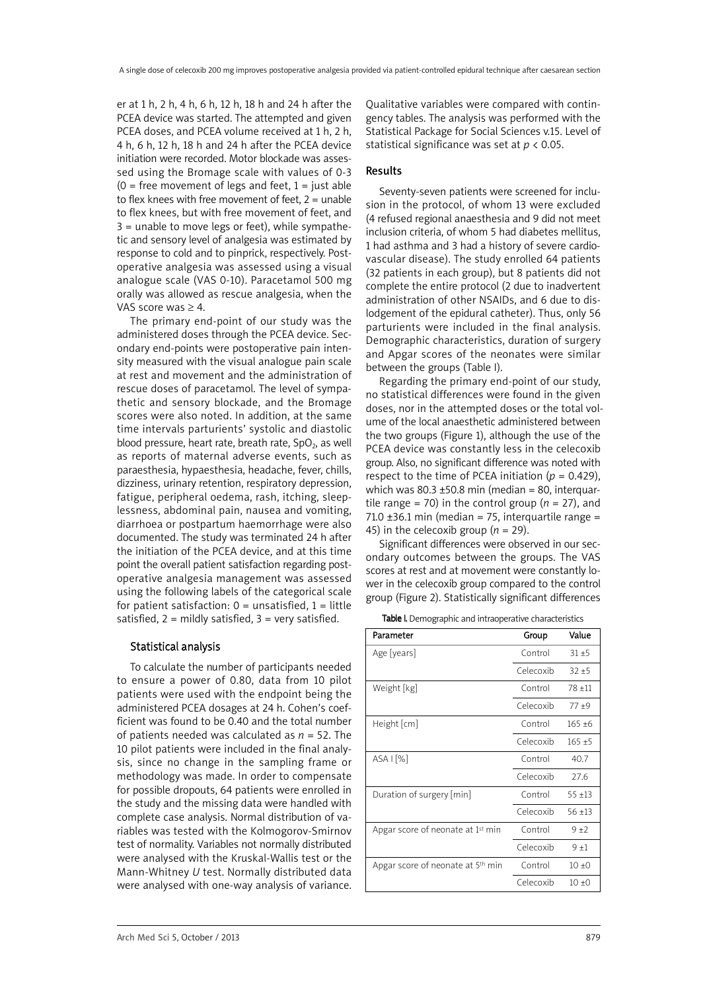er at 1 h, 2 h, 4 h, 6 h, 12 h, 18 h and 24 h after the PCEA device was started. The attempted and given PCEA doses, and PCEA volume received at 1 h, 2 h, 4 h, 6 h, 12 h, 18 h and 24 h after the PCEA device initiation were recorded. Motor blockade was assessed using the Bromage scale with values of 0-3  $(0 =$  free movement of legs and feet,  $1 =$  just able to flex knees with free movement of feet,  $2 =$  unable to flex knees, but with free movement of feet, and 3 = unable to move legs or feet), while sympathetic and sensory level of analgesia was estimated by response to cold and to pinprick, respectively. Postoperative analgesia was assessed using a visual analogue scale (VAS 0-10). Paracetamol 500 mg orally was allowed as rescue analgesia, when the VAS score was ≥ 4.

The primary end-point of our study was the administered doses through the PCEA device. Secondary end-points were postoperative pain intensity measured with the visual analogue pain scale at rest and movement and the administration of rescue doses of paracetamol. The level of sympathetic and sensory blockade, and the Bromage scores were also noted. In addition, at the same time intervals parturients' systolic and diastolic blood pressure, heart rate, breath rate,  $SpO<sub>2</sub>$ , as well as reports of maternal adverse events, such as paraesthesia, hypaesthesia, headache, fever, chills, dizziness, urinary retention, respiratory depression, fatigue, peripheral oedema, rash, itching, sleeplessness, abdominal pain, nausea and vomiting, diarrhoea or postpartum haemorrhage were also documented. The study was terminated 24 h after the initiation of the PCEA device, and at this time point the overall patient satisfaction regarding postoperative analgesia management was assessed using the following labels of the categorical scale for patient satisfaction:  $0 =$  unsatisfied,  $1 =$  little satisfied,  $2 =$  mildly satisfied,  $3 =$  very satisfied.

# Statistical analysis

To calculate the number of participants needed to ensure a power of 0.80, data from 10 pilot patients were used with the endpoint being the administered PCEA dosages at 24 h. Cohen's coefficient was found to be 0.40 and the total number of patients needed was calculated as *n* = 52. The 10 pilot patients were included in the final analysis, since no change in the sampling frame or methodology was made. In order to compensate for possible dropouts, 64 patients were enrolled in the study and the missing data were handled with complete case analysis. Normal distribution of variables was tested with the Kolmogorov-Smirnov test of normality. Variables not normally distributed were analysed with the Kruskal-Wallis test or the Mann-Whitney *U* test. Normally distributed data were analysed with one-way analysis of variance.

Qualitative variables were compared with contingency tables. The analysis was performed with the Statistical Package for Social Sciences v.15. Level of statistical significance was set at *p* < 0.05.

## Results

Seventy-seven patients were screened for inclusion in the protocol, of whom 13 were excluded (4 refused regional anaesthesia and 9 did not meet inclusion criteria, of whom 5 had diabetes mellitus, 1 had asthma and 3 had a history of severe cardiovascular disease). The study enrolled 64 patients (32 patients in each group), but 8 patients did not complete the entire protocol (2 due to inadvertent administration of other NSAIDs, and 6 due to dislodgement of the epidural catheter). Thus, only 56 parturients were included in the final analysis. Demographic characteristics, duration of surgery and Apgar scores of the neonates were similar between the groups (Table I).

Regarding the primary end-point of our study, no statistical differences were found in the given doses, nor in the attempted doses or the total volume of the local anaesthetic administered between the two groups (Figure 1), although the use of the PCEA device was constantly less in the celecoxib group. Also, no significant difference was noted with respect to the time of PCEA initiation  $(p = 0.429)$ . which was  $80.3 \pm 50.8$  min (median = 80, interquartile range = 70) in the control group ( $n = 27$ ), and 71.0  $\pm$ 36.1 min (median = 75, interquartile range = 45) in the celecoxib group  $(n = 29)$ .

Significant differences were observed in our secondary outcomes between the groups. The VAS scores at rest and at movement were constantly lower in the celecoxib group compared to the control group (Figure 2). Statistically significant differences

Table I. Demographic and intraoperative characteristics

| Parameter                                     | Group     | Value     |  |
|-----------------------------------------------|-----------|-----------|--|
| Age [years]                                   | Control   | $31 + 5$  |  |
|                                               | Celecoxib | $32 + 5$  |  |
| Weight [kg]                                   | Control   | $78 + 11$ |  |
|                                               | Celecoxib | $77 + 9$  |  |
| Height [cm]                                   | Control   | $165 + 6$ |  |
|                                               | Celecoxib | $165 + 5$ |  |
| $ASA$ $\left[\% \right]$                      | Control   | 40.7      |  |
|                                               | Celecoxib | 27.6      |  |
| Duration of surgery [min]                     | Control   | $55 + 13$ |  |
|                                               | Celecoxib | $56 + 13$ |  |
| Apgar score of neonate at 1 <sup>st</sup> min | Control   | $9 + 7$   |  |
|                                               | Celecoxib | $9 + 1$   |  |
| Apgar score of neonate at 5th min             | Control   | 10±0      |  |
|                                               | Celecoxib | $10 + 0$  |  |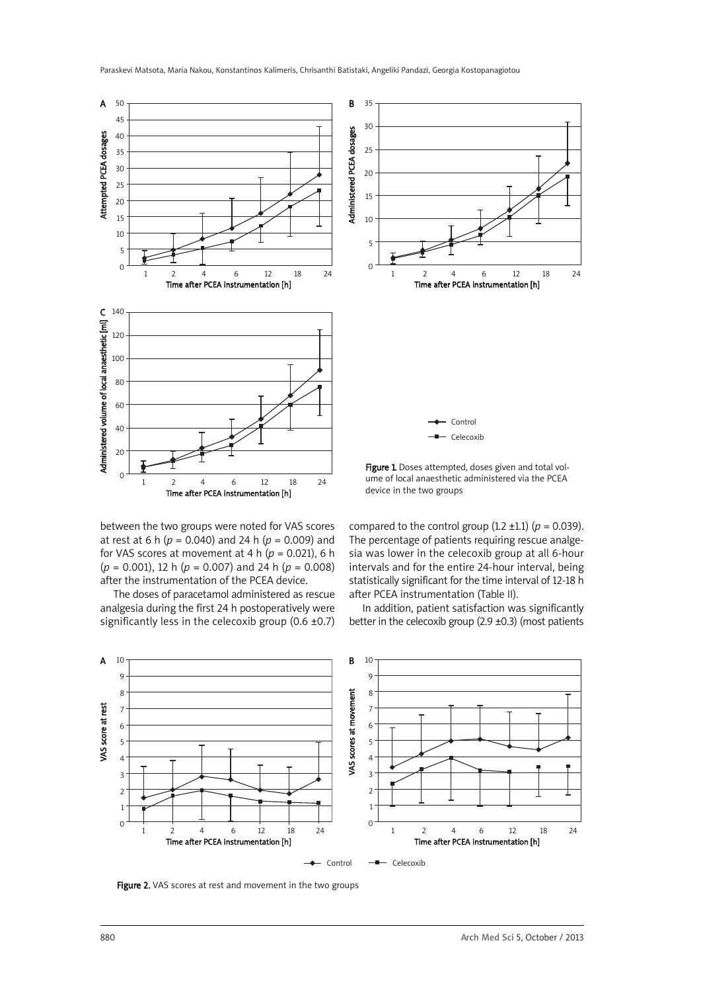

ume of local anaesthetic administered via the PCEA device in the two groups

between the two groups were noted for VAS scores at rest at 6 h (*p* = 0.040) and 24 h (*p* = 0.009) and for VAS scores at movement at 4 h ( $p = 0.021$ ), 6 h (*p* = 0.001), 12 h (*p* = 0.007) and 24 h (*p* = 0.008) after the instrumentation of the PCEA device.

Time after PCEA instrumentation [h] 1 2 4 6 12 18 24

The doses of paracetamol administered as rescue analgesia during the first 24 h postoperatively were significantly less in the celecoxib group  $(0.6 \pm 0.7)$  compared to the control group  $(1.2 \pm 1.1)$   $(p = 0.039)$ . The percentage of patients requiring rescue analgesia was lower in the celecoxib group at all 6-hour intervals and for the entire 24-hour interval, being statistically significant for the time interval of 12-18 h after PCEA instrumentation (Table II).

In addition, patient satisfaction was significantly better in the celecoxib group (2.9  $\pm$ 0.3) (most patients



Figure 2. VAS scores at rest and movement in the two groups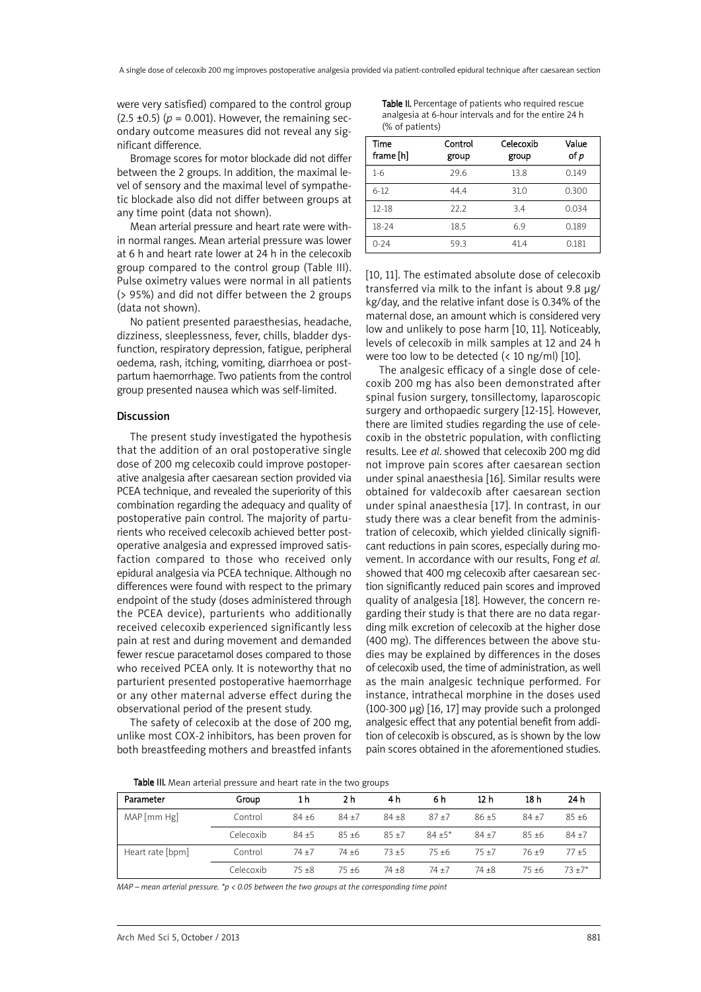were very satisfied) compared to the control group  $(2.5 \pm 0.5)$  ( $p = 0.001$ ). However, the remaining secondary outcome measures did not reveal any significant difference.

Bromage scores for motor blockade did not differ between the 2 groups. In addition, the maximal level of sensory and the maximal level of sympathetic blockade also did not differ between groups at any time point (data not shown).

Mean arterial pressure and heart rate were within normal ranges. Mean arterial pressure was lower at 6 h and heart rate lower at 24 h in the celecoxib group compared to the control group (Table III). Pulse oximetry values were normal in all patients (> 95%) and did not differ between the 2 groups (data not shown).

No patient presented paraesthesias, headache, dizziness, sleeplessness, fever, chills, bladder dysfunction, respiratory depression, fatigue, peripheral oedema, rash, itching, vomiting, diarrhoea or postpartum haemorrhage. Two patients from the control group presented nausea which was self-limited.

#### Discussion

The present study investigated the hypothesis that the addition of an oral postoperative single dose of 200 mg celecoxib could improve postoperative analgesia after caesarean section provided via PCEA technique, and revealed the superiority of this combination regarding the adequacy and quality of postoperative pain control. The majority of parturients who received celecoxib achieved better postoperative analgesia and expressed improved satisfaction compared to those who received only epidural analgesia via PCEA technique. Although no differences were found with respect to the primary endpoint of the study (doses administered through the PCEA device), parturients who additionally received celecoxib experienced significantly less pain at rest and during movement and demanded fewer rescue paracetamol doses compared to those who received PCEA only. It is noteworthy that no parturient presented postoperative haemorrhage or any other maternal adverse effect during the observational period of the present study.

The safety of celecoxib at the dose of 200 mg, unlike most COX-2 inhibitors, has been proven for both breastfeeding mothers and breastfed infants

Table II. Percentage of patients who required rescue analgesia at 6-hour intervals and for the entire 24 h (% of patients)

| Time<br>frame [h] | Control<br>group | Celecoxib<br>group | Value<br>of p |
|-------------------|------------------|--------------------|---------------|
| $1-6$             | 29.6             | 13.8               | 0.149         |
| $6-12$            | 4444             | 31.0               | 0.300         |
| $12 - 18$         | 22.2             | 3.4                | 0.034         |
| $18-24$           | 18.5             | 6.9                | 0.189         |
| $0 - 24$          | 59.3             | 41.4               | 0.181         |

[10, 11]. The estimated absolute dose of celecoxib transferred via milk to the infant is about 9.8 µg/ kg/day, and the relative infant dose is 0.34% of the maternal dose, an amount which is considered very low and unlikely to pose harm [10, 11]. Noticeably, levels of celecoxib in milk samples at 12 and 24 h were too low to be detected (< 10 ng/ml) [10].

The analgesic efficacy of a single dose of celecoxib 200 mg has also been demonstrated after spinal fusion surgery, tonsillectomy, laparoscopic surgery and orthopaedic surgery [12-15]. However, there are limited studies regarding the use of celecoxib in the obstetric population, with conflicting results. Lee *et al*. showed that celecoxib 200 mg did not improve pain scores after caesarean section under spinal anaesthesia [16]. Similar results were obtained for valdecoxib after caesarean section under spinal anaesthesia [17]. In contrast, in our study there was a clear benefit from the administration of celecoxib, which yielded clinically significant reductions in pain scores, especially during movement. In accordance with our results, Fong *et al.* showed that 400 mg celecoxib after caesarean section significantly reduced pain scores and improved quality of analgesia [18]. However, the concern regarding their study is that there are no data regarding milk excretion of celecoxib at the higher dose (400 mg). The differences between the above studies may be explained by differences in the doses of celecoxib used, the time of administration, as well as the main analgesic technique performed. For instance, intrathecal morphine in the doses used (100-300 µg) [16, 17] may provide such a prolonged analgesic effect that any potential benefit from addition of celecoxib is obscured, as is shown by the low pain scores obtained in the aforementioned studies.

Table III. Mean arterial pressure and heart rate in the two groups

| Parameter        | Group     | 1 h      | 2 h      | 4 h      | 6 h       | 12 h     | 18 h     | 24 h      |
|------------------|-----------|----------|----------|----------|-----------|----------|----------|-----------|
| MAP[mm Hg]       | Control   | $84 + 6$ | $84 + 7$ | $84 + 8$ | $87 + 7$  | $86 + 5$ | $84 + 7$ | $85 + 6$  |
|                  | Celecoxib | $84 + 5$ | $85 + 6$ | $85 + 7$ | $84 + 5*$ | $84 + 7$ | $85 + 6$ | $84 + 7$  |
| Heart rate [bpm] | Control   | $74 + 7$ | 74 ±6    | $73 + 5$ | $75 + 6$  | $75+7$   | $76 + 9$ | $77+5$    |
|                  | Celecoxib | 75 +8    | 75 +6    | 74 +8    | $74+7$    | $74 + 8$ | $75 + 6$ | $73 + 7*$ |

*MAP – mean arterial pressure. \*p < 0.05 between the two groups at the corresponding time point*